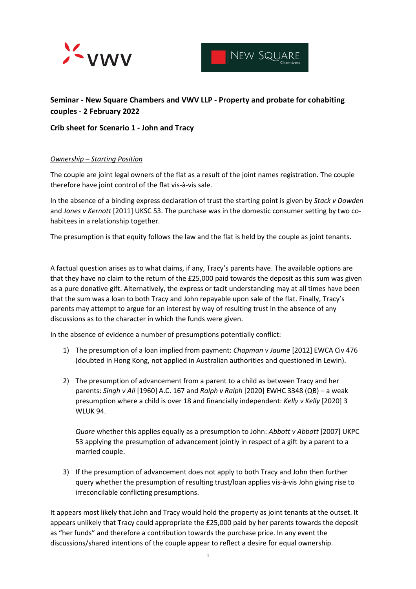



# **Seminar - New Square Chambers and VWV LLP - Property and probate for cohabiting couples - 2 February 2022**

# **Crib sheet for Scenario 1 - John and Tracy**

## *Ownership – Starting Position*

The couple are joint legal owners of the flat as a result of the joint names registration. The couple therefore have joint control of the flat vis-à-vis sale.

In the absence of a binding express declaration of trust the starting point is given by *Stack v Dowden* and *Jones v Kernott* [2011] UKSC 53. The purchase was in the domestic consumer setting by two cohabitees in a relationship together.

The presumption is that equity follows the law and the flat is held by the couple as joint tenants.

A factual question arises as to what claims, if any, Tracy's parents have. The available options are that they have no claim to the return of the £25,000 paid towards the deposit as this sum was given as a pure donative gift. Alternatively, the express or tacit understanding may at all times have been that the sum was a loan to both Tracy and John repayable upon sale of the flat. Finally, Tracy's parents may attempt to argue for an interest by way of resulting trust in the absence of any discussions as to the character in which the funds were given.

In the absence of evidence a number of presumptions potentially conflict:

- 1) The presumption of a loan implied from payment: *Chapman v Jaume* [2012] EWCA Civ 476 (doubted in Hong Kong, not applied in Australian authorities and questioned in Lewin).
- 2) The presumption of advancement from a parent to a child as between Tracy and her parents: *Singh v Ali* [1960] A.C. 167 and *Ralph v Ralph* [2020] EWHC 3348 (QB) – a weak presumption where a child is over 18 and financially independent: *Kelly v Kelly* [2020] 3 WLUK 94.

*Quare* whether this applies equally as a presumption to John: *Abbott v Abbott* [2007] UKPC 53 applying the presumption of advancement jointly in respect of a gift by a parent to a married couple.

3) If the presumption of advancement does not apply to both Tracy and John then further query whether the presumption of resulting trust/loan applies vis-à-vis John giving rise to irreconcilable conflicting presumptions.

It appears most likely that John and Tracy would hold the property as joint tenants at the outset. It appears unlikely that Tracy could appropriate the £25,000 paid by her parents towards the deposit as "her funds" and therefore a contribution towards the purchase price. In any event the discussions/shared intentions of the couple appear to reflect a desire for equal ownership.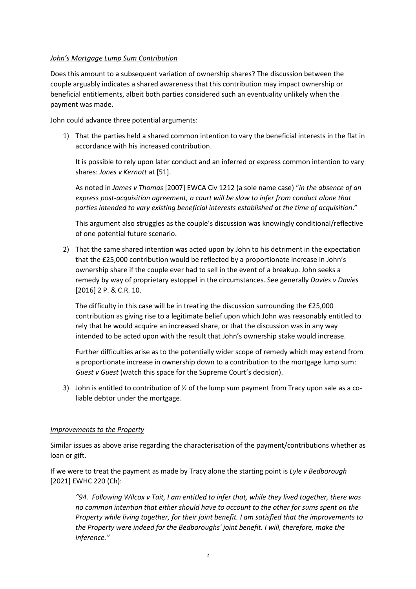## *John's Mortgage Lump Sum Contribution*

Does this amount to a subsequent variation of ownership shares? The discussion between the couple arguably indicates a shared awareness that this contribution may impact ownership or beneficial entitlements, albeit both parties considered such an eventuality unlikely when the payment was made.

John could advance three potential arguments:

1) That the parties held a shared common intention to vary the beneficial interests in the flat in accordance with his increased contribution.

It is possible to rely upon later conduct and an inferred or express common intention to vary shares: *Jones v Kernott* at [51].

As noted in *James v Thomas* [2007] EWCA Civ 1212 (a sole name case) "*in the absence of an express post-acquisition agreement, a court will be slow to infer from conduct alone that parties intended to vary existing beneficial interests established at the time of acquisition*."

This argument also struggles as the couple's discussion was knowingly conditional/reflective of one potential future scenario.

2) That the same shared intention was acted upon by John to his detriment in the expectation that the £25,000 contribution would be reflected by a proportionate increase in John's ownership share if the couple ever had to sell in the event of a breakup. John seeks a remedy by way of proprietary estoppel in the circumstances. See generally *Davies v Davies* [2016] 2 P. & C.R. 10.

The difficulty in this case will be in treating the discussion surrounding the £25,000 contribution as giving rise to a legitimate belief upon which John was reasonably entitled to rely that he would acquire an increased share, or that the discussion was in any way intended to be acted upon with the result that John's ownership stake would increase.

Further difficulties arise as to the potentially wider scope of remedy which may extend from a proportionate increase in ownership down to a contribution to the mortgage lump sum: *Guest v Guest* (watch this space for the Supreme Court's decision).

3) John is entitled to contribution of ½ of the lump sum payment from Tracy upon sale as a coliable debtor under the mortgage.

#### *Improvements to the Property*

Similar issues as above arise regarding the characterisation of the payment/contributions whether as loan or gift.

If we were to treat the payment as made by Tracy alone the starting point is *Lyle v Bedborough*  [2021] EWHC 220 (Ch):

*"94. Following Wilcox v Tait, I am entitled to infer that, while they lived together, there was no common intention that either should have to account to the other for sums spent on the Property while living together, for their joint benefit. I am satisfied that the improvements to the Property were indeed for the Bedboroughs' joint benefit. I will, therefore, make the inference."*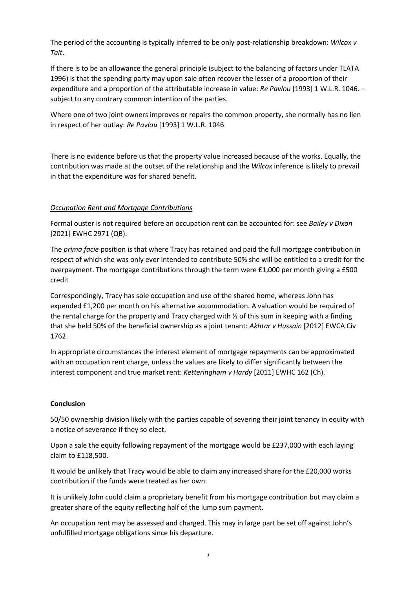The period of the accounting is typically inferred to be only post-relationship breakdown: *Wilcox v Tait*.

If there is to be an allowance the general principle (subject to the balancing of factors under TLATA 1996) is that the spending party may upon sale often recover the lesser of a proportion of their expenditure and a proportion of the attributable increase in value: *Re Pavlou* [1993] 1 W.L.R. 1046. – subject to any contrary common intention of the parties.

Where one of two joint owners improves or repairs the common property, she normally has no lien in respect of her outlay: *Re Pavlou* [1993] 1 W.L.R. 1046

There is no evidence before us that the property value increased because of the works. Equally, the contribution was made at the outset of the relationship and the *Wilcox* inference is likely to prevail in that the expenditure was for shared benefit.

## *Occupation Rent and Mortgage Contributions*

Formal ouster is not required before an occupation rent can be accounted for: see *Bailey v Dixon* [2021] EWHC 2971 (QB).

The *prima facie* position is that where Tracy has retained and paid the full mortgage contribution in respect of which she was only ever intended to contribute 50% she will be entitled to a credit for the overpayment. The mortgage contributions through the term were £1,000 per month giving a £500 credit

Correspondingly, Tracy has sole occupation and use of the shared home, whereas John has expended £1,200 per month on his alternative accommodation. A valuation would be required of the rental charge for the property and Tracy charged with ½ of this sum in keeping with a finding that she held 50% of the beneficial ownership as a joint tenant: *Akhtar v Hussain* [2012] EWCA Civ 1762.

In appropriate circumstances the interest element of mortgage repayments can be approximated with an occupation rent charge, unless the values are likely to differ significantly between the interest component and true market rent: *Ketteringham v Hardy* [2011] EWHC 162 (Ch).

#### **Conclusion**

50/50 ownership division likely with the parties capable of severing their joint tenancy in equity with a notice of severance if they so elect.

Upon a sale the equity following repayment of the mortgage would be £237,000 with each laying claim to £118,500.

It would be unlikely that Tracy would be able to claim any increased share for the £20,000 works contribution if the funds were treated as her own.

It is unlikely John could claim a proprietary benefit from his mortgage contribution but may claim a greater share of the equity reflecting half of the lump sum payment.

An occupation rent may be assessed and charged. This may in large part be set off against John's unfulfilled mortgage obligations since his departure.